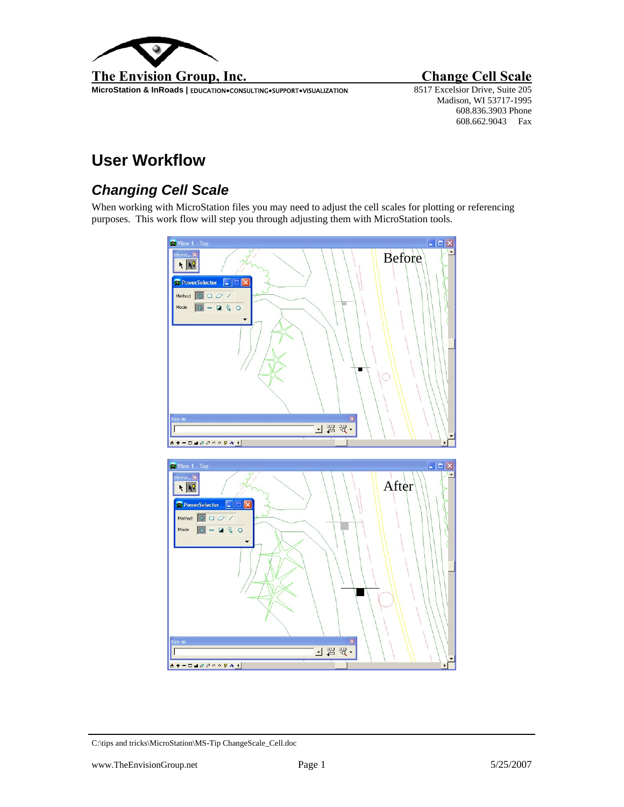

**MicroStation & InRoads | EDUCATION•CONSULTING•SUPPORT•VISUALIZATION** 

Madison, WI 53717-1995 608.836.3903 Phone 608.662.9043 Fax

## **User Workflow**

## *Changing Cell Scale*

When working with MicroStation files you may need to adjust the cell scales for plotting or referencing purposes. This work flow will step you through adjusting them with MicroStation tools.



C:\tips and tricks\MicroStation\MS-Tip ChangeScale\_Cell.doc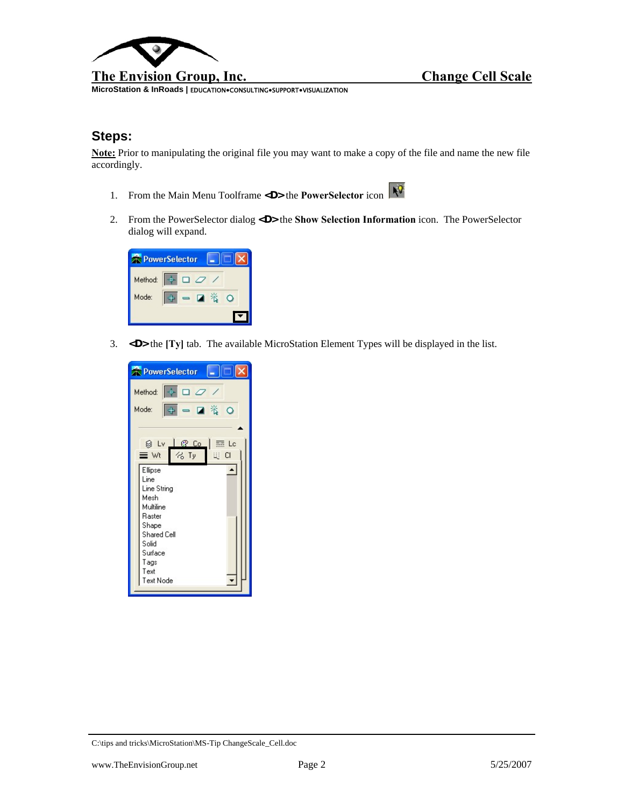

**MicroStation & InRoads |** EDUCATION**●**CONSULTING**●**SUPPORT**●**VISUALIZATION

## **Steps:**

**Note:** Prior to manipulating the original file you may want to make a copy of the file and name the new file accordingly.

- 1. From the Main Menu Toolframe <D> the **PowerSelector** icon
- 2. From the PowerSelector dialog **<D>** the **Show Selection Information** icon. The PowerSelector dialog will expand.



3. **<D>** the **[Ty]** tab. The available MicroStation Element Types will be displayed in the list.

| I – 10<br>PowerSelector                                           |
|-------------------------------------------------------------------|
| $+$ $-$<br>Method:                                                |
| $\Rightarrow$ $\blacksquare$ $\ddot{\ddot{\imath}}$<br>Mode:<br>O |
| ⊗ Lv<br>三 Lo                                                      |
| ≡ wt<br>化 Ty<br><b>DO</b><br>Ellipse                              |
| Line<br>Line String                                               |
| Mesh<br>Multiline                                                 |
| Raster<br>Shape                                                   |
| <b>Shared Cell</b><br>Solid                                       |
| Surface<br>Tags<br>Text                                           |
| Text Node                                                         |

C:\tips and tricks\MicroStation\MS-Tip ChangeScale\_Cell.doc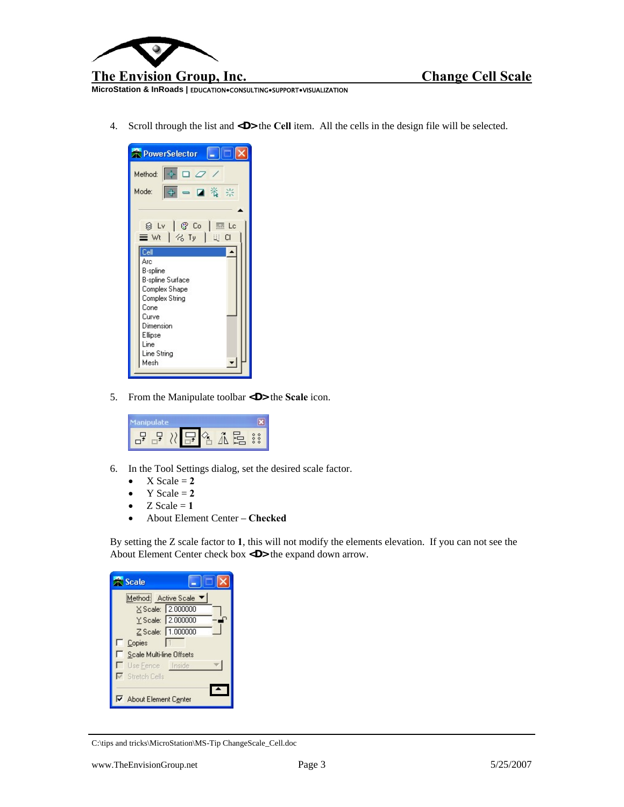

**MicroStation & InRoads |** EDUCATION**●**CONSULTING**●**SUPPORT**●**VISUALIZATION

4. Scroll through the list and **<D>** the **Cell** item. All the cells in the design file will be selected.



5. From the Manipulate toolbar **<D>** the **Scale** icon.



- 6. In the Tool Settings dialog, set the desired scale factor.
	- $X$  Scale  $= 2$
	- Y Scale  $= 2$
	- $Z$  Scale = 1
	- About Element Center **Checked**

By setting the Z scale factor to **1**, this will not modify the elements elevation. If you can not see the About Element Center check box **<D>** the expand down arrow.

| <b>Scale</b>                                                     |  |
|------------------------------------------------------------------|--|
| Method: Active Scale ▼<br>X Scale: 2.000000<br>Y Scale: 2.000000 |  |
| Z Scale: 1.000000<br>Copies<br>Scale Multi-line Offsets          |  |
| Use Fence Inside<br>Stretch Cells<br>About Element Center        |  |

C:\tips and tricks\MicroStation\MS-Tip ChangeScale\_Cell.doc